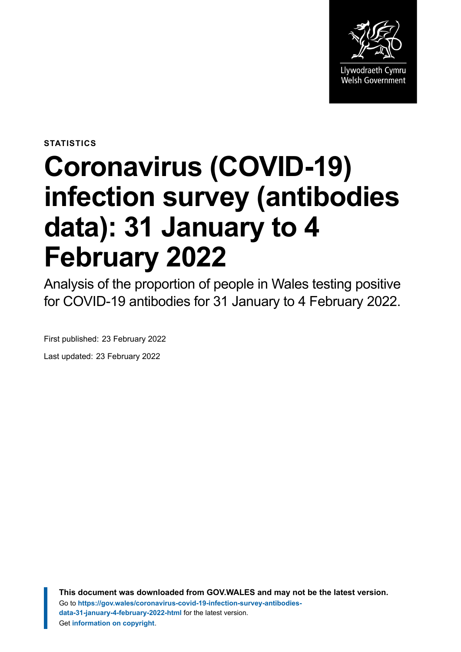

**STATISTICS**

# **Coronavirus (COVID-19) infection survey (antibodies data): 31 January to 4 February 2022**

Analysis of the proportion of people in Wales testing positive for COVID-19 antibodies for 31 January to 4 February 2022.

First published: 23 February 2022

Last updated: 23 February 2022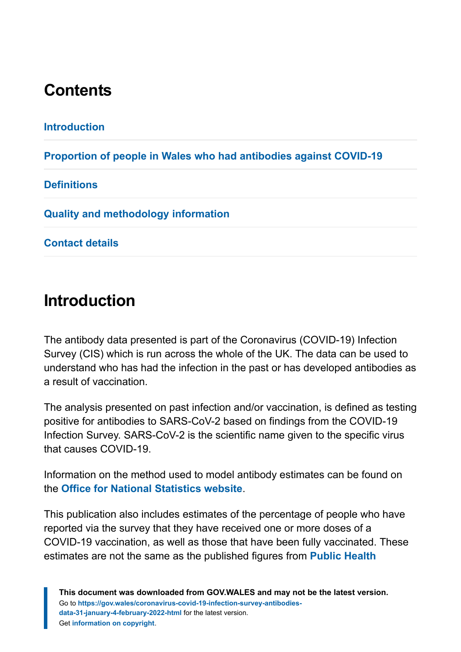# **Contents**

| <b>Introduction</b>                                               |
|-------------------------------------------------------------------|
| Proportion of people in Wales who had antibodies against COVID-19 |
| <b>Definitions</b>                                                |
| <b>Quality and methodology information</b>                        |
| <b>Contact details</b>                                            |
|                                                                   |

## <span id="page-1-0"></span>**Introduction**

The antibody data presented is part of the Coronavirus (COVID-19) Infection Survey (CIS) which is run across the whole of the UK. The data can be used to understand who has had the infection in the past or has developed antibodies as a result of vaccination.

The analysis presented on past infection and/or vaccination, is defined as testing positive for antibodies to SARS-CoV-2 based on findings from the COVID-19 Infection Survey. SARS-CoV-2 is the scientific name given to the specific virus that causes COVID-19.

Information on the method used to model antibody estimates can be found on the **[Office for National Statistics](https://www.ons.gov.uk/peoplepopulationandcommunity/healthandsocialcare/conditionsanddiseases/methodologies/covid19infectionsurveypilotmethodsandfurtherinformation#antibody-and-vaccination-estimates) website**.

This publication also includes estimates of the percentage of people who have reported via the survey that they have received one or more doses of a COVID-19 vaccination, as well as those that have been fully vaccinated. These estimates are not the same as the published figures from **[Public Health](https://public.tableau.com/profile/public.health.wales.health.protection#!/vizhome/RapidCOVID-19virology-Public/Headlinesummary)**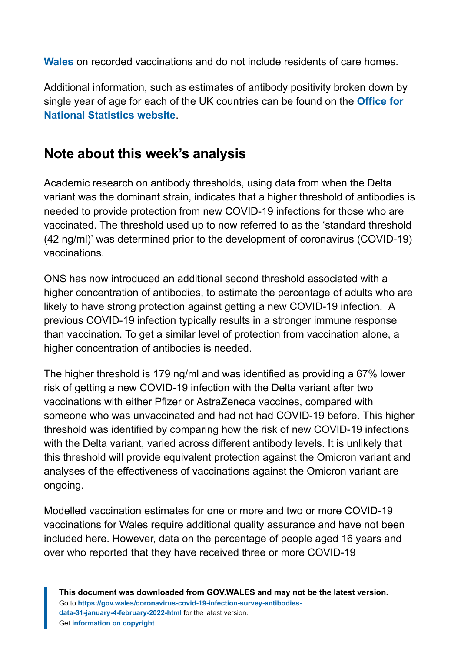**[Wales](https://public.tableau.com/profile/public.health.wales.health.protection#!/vizhome/RapidCOVID-19virology-Public/Headlinesummary)** on recorded vaccinations and do not include residents of care homes.

Additional information, such as estimates of antibody positivity broken down by single year of age for each of the UK countries can be found on the **[Office for](https://www.ons.gov.uk/peoplepopulationandcommunity/healthandsocialcare/conditionsanddiseases/articles/coronaviruscovid19infectionsurveyantibodydatafortheuk/previousReleases) [National Statistics website](https://www.ons.gov.uk/peoplepopulationandcommunity/healthandsocialcare/conditionsanddiseases/articles/coronaviruscovid19infectionsurveyantibodydatafortheuk/previousReleases)**.

#### **Note about this week's analysis**

Academic research on antibody thresholds, using data from when the Delta variant was the dominant strain, indicates that a higher threshold of antibodies is needed to provide protection from new COVID-19 infections for those who are vaccinated. The threshold used up to now referred to as the 'standard threshold (42 ng/ml)' was determined prior to the development of coronavirus (COVID-19) vaccinations.

ONS has now introduced an additional second threshold associated with a higher concentration of antibodies, to estimate the percentage of adults who are likely to have strong protection against getting a new COVID-19 infection. A previous COVID-19 infection typically results in a stronger immune response than vaccination. To get a similar level of protection from vaccination alone, a higher concentration of antibodies is needed.

The higher threshold is 179 ng/ml and was identified as providing a 67% lower risk of getting a new COVID-19 infection with the Delta variant after two vaccinations with either Pfizer or AstraZeneca vaccines, compared with someone who was unvaccinated and had not had COVID-19 before. This higher threshold was identified by comparing how the risk of new COVID-19 infections with the Delta variant, varied across different antibody levels. It is unlikely that this threshold will provide equivalent protection against the Omicron variant and analyses of the effectiveness of vaccinations against the Omicron variant are ongoing.

Modelled vaccination estimates for one or more and two or more COVID-19 vaccinations for Wales require additional quality assurance and have not been included here. However, data on the percentage of people aged 16 years and over who reported that they have received three or more COVID-19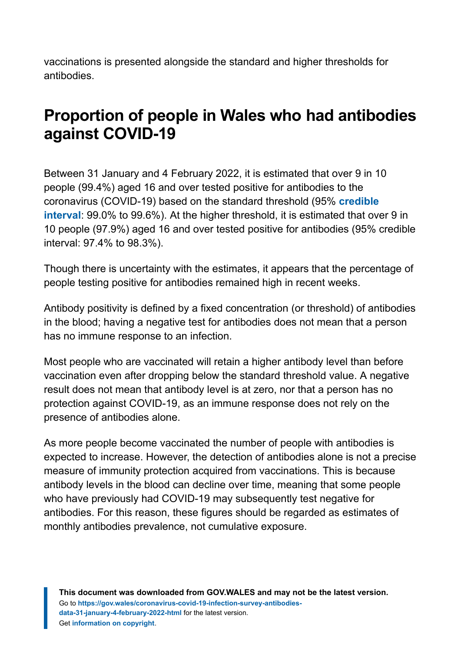vaccinations is presented alongside the standard and higher thresholds for antibodies.

## <span id="page-3-0"></span>**Proportion of people in Wales who had antibodies against COVID-19**

Between 31 January and 4 February 2022, it is estimated that over 9 in 10 people (99.4%) aged 16 and over tested positive for antibodies to the coronavirus (COVID-19) based on the standard threshold (95% **[credible](#page-7-1) [interval](#page-7-1)**: 99.0% to 99.6%). At the higher threshold, it is estimated that over 9 in 10 people (97.9%) aged 16 and over tested positive for antibodies (95% credible interval: 97.4% to 98.3%).

Though there is uncertainty with the estimates, it appears that the percentage of people testing positive for antibodies remained high in recent weeks.

Antibody positivity is defined by a fixed concentration (or threshold) of antibodies in the blood; having a negative test for antibodies does not mean that a person has no immune response to an infection.

Most people who are vaccinated will retain a higher antibody level than before vaccination even after dropping below the standard threshold value. A negative result does not mean that antibody level is at zero, nor that a person has no protection against COVID-19, as an immune response does not rely on the presence of antibodies alone.

As more people become vaccinated the number of people with antibodies is expected to increase. However, the detection of antibodies alone is not a precise measure of immunity protection acquired from vaccinations. This is because antibody levels in the blood can decline over time, meaning that some people who have previously had COVID-19 may subsequently test negative for antibodies. For this reason, these figures should be regarded as estimates of monthly antibodies prevalence, not cumulative exposure.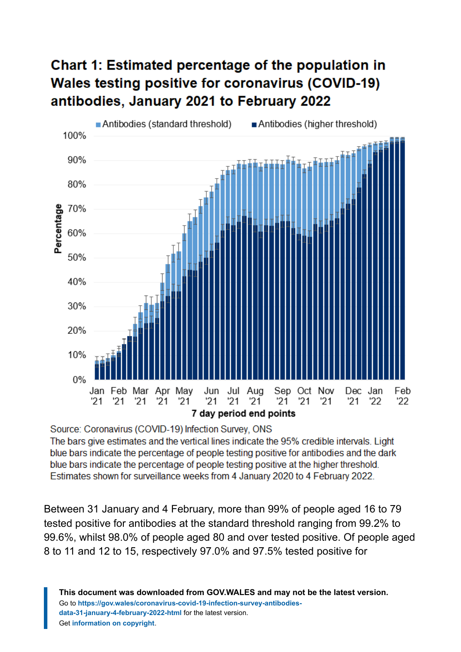## Chart 1: Estimated percentage of the population in **Wales testing positive for coronavirus (COVID-19)** antibodies, January 2021 to February 2022



Source: Coronavirus (COVID-19) Infection Survey, ONS

The bars give estimates and the vertical lines indicate the 95% credible intervals. Light blue bars indicate the percentage of people testing positive for antibodies and the dark blue bars indicate the percentage of people testing positive at the higher threshold. Estimates shown for surveillance weeks from 4 January 2020 to 4 February 2022.

Between 31 January and 4 February, more than 99% of people aged 16 to 79 tested positive for antibodies at the standard threshold ranging from 99.2% to 99.6%, whilst 98.0% of people aged 80 and over tested positive. Of people aged 8 to 11 and 12 to 15, respectively 97.0% and 97.5% tested positive for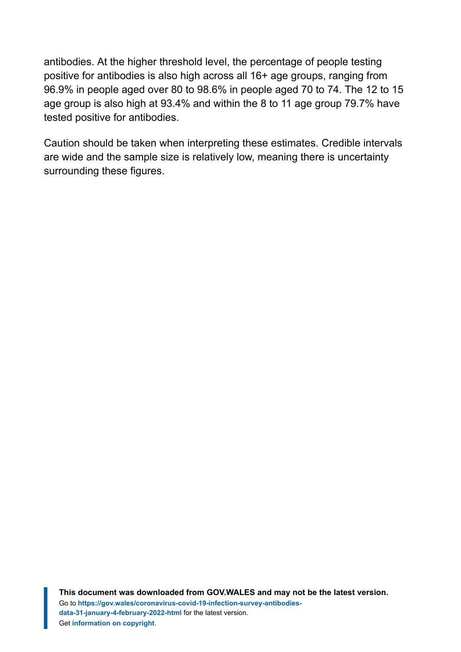antibodies. At the higher threshold level, the percentage of people testing positive for antibodies is also high across all 16+ age groups, ranging from 96.9% in people aged over 80 to 98.6% in people aged 70 to 74. The 12 to 15 age group is also high at 93.4% and within the 8 to 11 age group 79.7% have tested positive for antibodies.

Caution should be taken when interpreting these estimates. Credible intervals are wide and the sample size is relatively low, meaning there is uncertainty surrounding these figures.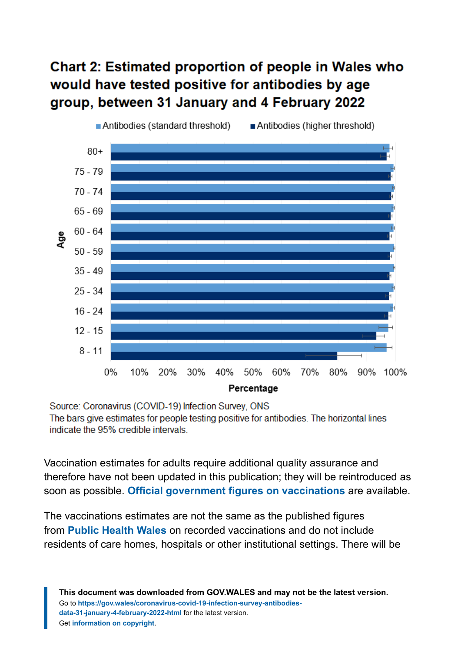### **Chart 2: Estimated proportion of people in Wales who** would have tested positive for antibodies by age group, between 31 January and 4 February 2022



Source: Coronavirus (COVID-19) Infection Survey, ONS The bars give estimates for people testing positive for antibodies. The horizontal lines indicate the 95% credible intervals.

Vaccination estimates for adults require additional quality assurance and therefore have not been updated in this publication; they will be reintroduced as soon as possible. **[Official government figures on vaccinations](https://coronavirus.data.gov.uk/details/vaccinations)** ar[e](https://coronavirus.data.gov.uk/details/vaccinations) available.

The vaccinations estimates are not the same as the published figures from **[Public Health Wales](https://public.tableau.com/profile/public.health.wales.health.protection#!/vizhome/RapidCOVID-19virology-Public/Headlinesummary)** on recorded vaccinations and do not include residents of care homes, hospitals or other institutional settings. There will be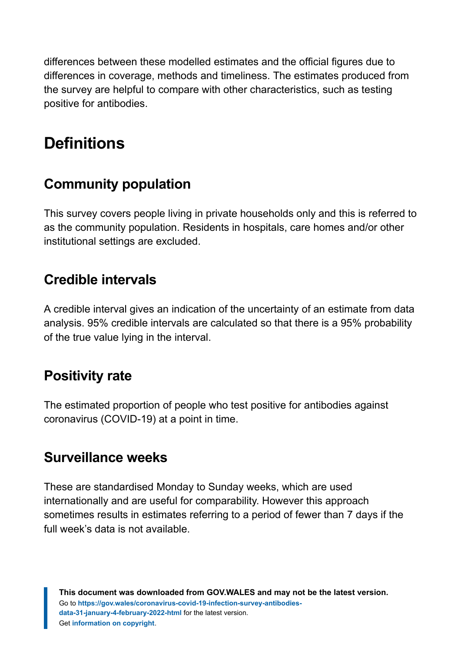differences between these modelled estimates and the official figures due to differences in coverage, methods and timeliness. The estimates produced from the survey are helpful to compare with other characteristics, such as testing positive for antibodies.

# <span id="page-7-0"></span>**Definitions**

#### <span id="page-7-3"></span>**Community population**

This survey covers people living in private households only and this is referred to as the community population. Residents in hospitals, care homes and/or other institutional settings are excluded.

#### <span id="page-7-1"></span>**Credible intervals**

A credible interval gives an indication of the uncertainty of an estimate from data analysis. 95% credible intervals are calculated so that there is a 95% probability of the true value lying in the interval.

#### **Positivity rate**

The estimated proportion of people who test positive for antibodies against coronavirus (COVID-19) at a point in time.

#### <span id="page-7-2"></span>**Surveillance weeks**

These are standardised Monday to Sunday weeks, which are used internationally and are useful for comparability. However this approach sometimes results in estimates referring to a period of fewer than 7 days if the full week's data is not available.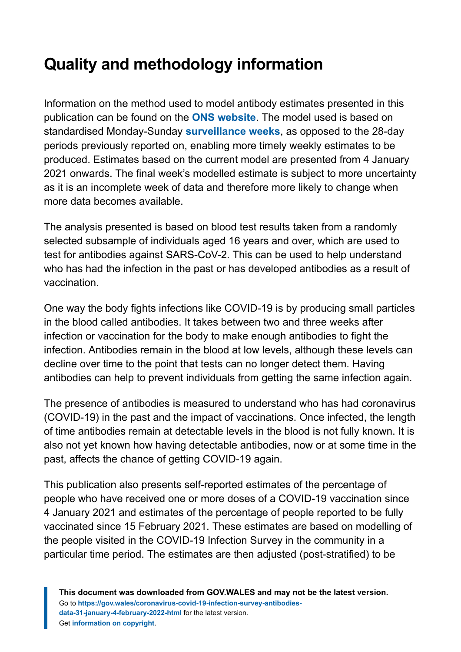# <span id="page-8-0"></span>**Quality and methodology information**

Information on the method used to model antibody estimates presented in this publication can be found on the **[ONS website](https://www.ons.gov.uk/peoplepopulationandcommunity/healthandsocialcare/conditionsanddiseases/methodologies/covid19infectionsurveypilotmethodsandfurtherinformation#antibody-and-vaccination-estimates)**. The model used is based on standardised Monday-Sunday **[surveillance weeks](#page-7-2)**, as opposed to the 28-day periods previously reported on, enabling more timely weekly estimates to be produced. Estimates based on the current model are presented from 4 January 2021 onwards. The final week's modelled estimate is subject to more uncertainty as it is an incomplete week of data and therefore more likely to change when more data becomes available.

The analysis presented is based on blood test results taken from a randomly selected subsample of individuals aged 16 years and over, which are used to test for antibodies against SARS-CoV-2. This can be used to help understand who has had the infection in the past or has developed antibodies as a result of vaccination.

One way the body fights infections like COVID-19 is by producing small particles in the blood called antibodies. It takes between two and three weeks after infection or vaccination for the body to make enough antibodies to fight the infection. Antibodies remain in the blood at low levels, although these levels can decline over time to the point that tests can no longer detect them. Having antibodies can help to prevent individuals from getting the same infection again.

The presence of antibodies is measured to understand who has had coronavirus (COVID-19) in the past and the impact of vaccinations. Once infected, the length of time antibodies remain at detectable levels in the blood is not fully known. It is also not yet known how having detectable antibodies, now or at some time in the past, affects the chance of getting COVID-19 again.

This publication also presents self-reported estimates of the percentage of people who have received one or more doses of a COVID-19 vaccination since 4 January 2021 and estimates of the percentage of people reported to be fully vaccinated since 15 February 2021. These estimates are based on modelling of the people visited in the COVID-19 Infection Survey in the community in a particular time period. The estimates are then adjusted (post-stratified) to be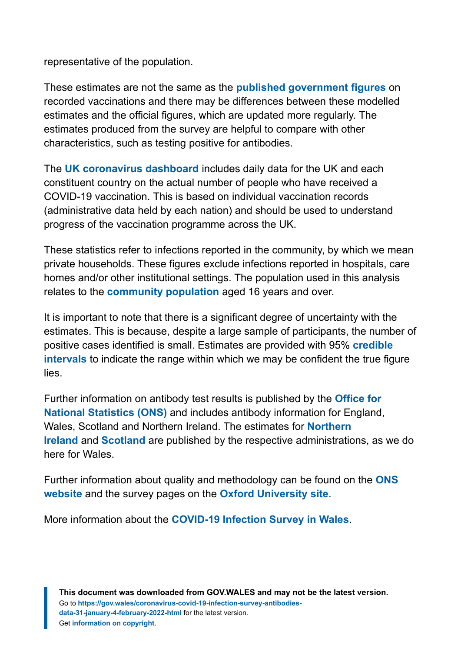representative of the population.

These estimates are not the same as the **[published government figures](https://public.tableau.com/profile/public.health.wales.health.protection#!/vizhome/RapidCOVID-19virology-Public/Headlinesummary)** on recorded vaccinations and there may be differences between these modelled estimates and the official figures, which are updated more regularly. The estimates produced from the survey are helpful to compare with other characteristics, such as testing positive for antibodies.

The **[UK coronavirus dashboard](https://coronavirus.data.gov.uk/details/vaccinations)** includes daily data for the UK and each constituent country on the actual number of people who have received a COVID-19 vaccination. This is based on individual vaccination records (administrative data held by each nation) and should be used to understand progress of the vaccination programme across the UK.

These statistics refer to infections reported in the community, by which we mean private households. These figures exclude infections reported in hospitals, care homes and/or other institutional settings. The population used in this analysis relates to the **[community population](#page-7-3)** aged 16 years and over.

It is important to note that there is a significant degree of uncertainty with the estimates. This is because, despite a large sample of participants, the number of positive cases identified is small. Estimates are provided with 95% **[credible](#page-7-1) [intervals](#page-7-1)** to indicate the range within which we may be confident the true figure lies.

Further information on antibody test results is published by the **[Office for](https://www.ons.gov.uk/peoplepopulationandcommunity/healthandsocialcare/conditionsanddiseases/articles/coronaviruscovid19infectionsurveyantibodydatafortheuk/previousReleases) [National Statistics \(ONS\)](https://www.ons.gov.uk/peoplepopulationandcommunity/healthandsocialcare/conditionsanddiseases/articles/coronaviruscovid19infectionsurveyantibodydatafortheuk/previousReleases)** and includes antibody information for England, Wales, Scotland and Northern Ireland. The estimates for **[Northern](https://www.health-ni.gov.uk/articles/covid-19-infection-survey) [Ireland](https://www.health-ni.gov.uk/articles/covid-19-infection-survey)** and **[Scotland](https://www.gov.scot/collections/coronavirus-covid-19-infection-survey/)** are published by the respective administrations, as we do here for Wales.

Further information about quality and methodology can be found on the **[ONS](https://www.ons.gov.uk/peoplepopulationandcommunity/healthandsocialcare/conditionsanddiseases/methodologies/covid19infectionsurveypilotmethodsandfurtherinformation) [website](https://www.ons.gov.uk/peoplepopulationandcommunity/healthandsocialcare/conditionsanddiseases/methodologies/covid19infectionsurveypilotmethodsandfurtherinformation)** and the survey pages on the **[Oxford University site](https://www.ndm.ox.ac.uk/covid-19/covid-19-infection-survey)**.

More information about the **[COVID-19 Infection Survey in Wales](https://gov.wales/coronavirus-covid-19-infection-survey-positivity-estimates)**.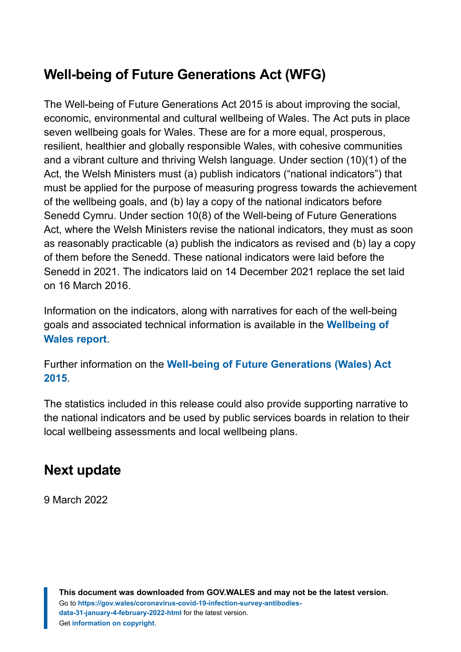## **Well-being of Future Generations Act (WFG)**

The Well-being of Future Generations Act 2015 is about improving the social, economic, environmental and cultural wellbeing of Wales. The Act puts in place seven wellbeing goals for Wales. These are for a more equal, prosperous, resilient, healthier and globally responsible Wales, with cohesive communities and a vibrant culture and thriving Welsh language. Under section (10)(1) of the Act, the Welsh Ministers must (a) publish indicators ("national indicators") that must be applied for the purpose of measuring progress towards the achievement of the wellbeing goals, and (b) lay a copy of the national indicators before Senedd Cymru. Under section 10(8) of the Well-being of Future Generations Act, where the Welsh Ministers revise the national indicators, they must as soon as reasonably practicable (a) publish the indicators as revised and (b) lay a copy of them before the Senedd. These national indicators were laid before the Senedd in 2021. The indicators laid on 14 December 2021 replace the set laid on 16 March 2016.

Information on the indicators, along with narratives for each of the well-being goals and associated technical information is available in the **[Wellbeing of](https://gov.wales/wellbeing-wales) [Wales report](https://gov.wales/wellbeing-wales)**.

Further information on the **[Well-being of Future Generations \(Wales\) Act](https://gov.wales/well-being-future-generations-wales-act-2015-guidance) [2015](https://gov.wales/well-being-future-generations-wales-act-2015-guidance)**.

The statistics included in this release could also provide supporting narrative to the national indicators and be used by public services boards in relation to their local wellbeing assessments and local wellbeing plans.

#### **Next update**

9 March 2022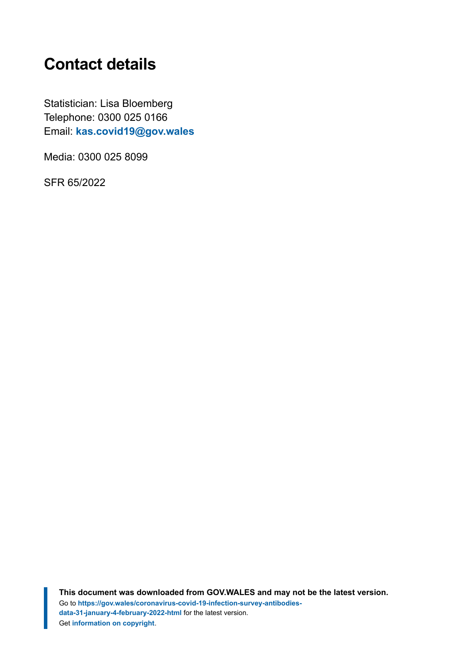# <span id="page-11-0"></span>**Contact details**

Statistician: Lisa Bloemberg Telephone: 0300 025 0166 Email: **[kas.covid19@gov.wales](mailto:kas.covid19@gov.wales)**

Media: 0300 025 8099

SFR 65/2022